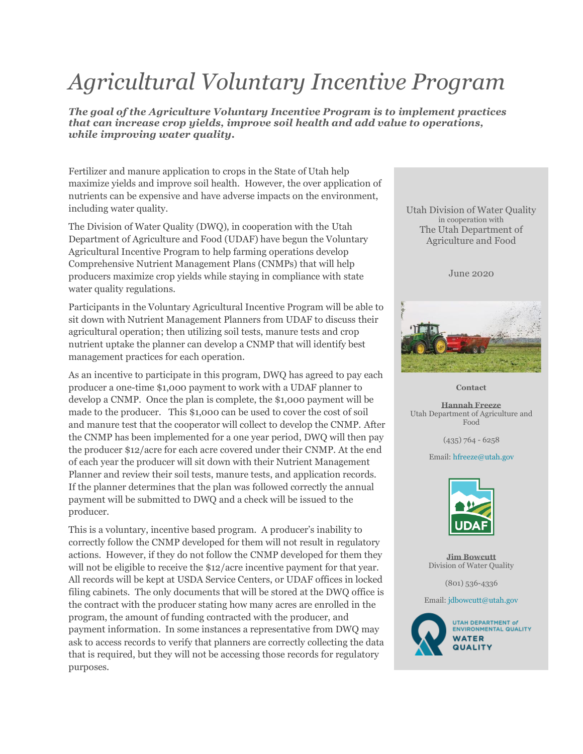## *Agricultural Voluntary Incentive Program*

*The goal of the Agriculture Voluntary Incentive Program is to implement practices that can increase crop yields, improve soil health and add value to operations, while improving water quality.*

Fertilizer and manure application to crops in the State of Utah help maximize yields and improve soil health. However, the over application of nutrients can be expensive and have adverse impacts on the environment, including water quality.

The Division of Water Quality (DWQ), in cooperation with the Utah Department of Agriculture and Food (UDAF) have begun the Voluntary Agricultural Incentive Program to help farming operations develop Comprehensive Nutrient Management Plans (CNMPs) that will help producers maximize crop yields while staying in compliance with state water quality regulations.

Participants in the Voluntary Agricultural Incentive Program will be able to sit down with Nutrient Management Planners from UDAF to discuss their agricultural operation; then utilizing soil tests, manure tests and crop nutrient uptake the planner can develop a CNMP that will identify best management practices for each operation.

As an incentive to participate in this program, DWQ has agreed to pay each producer a one-time \$1,000 payment to work with a UDAF planner to develop a CNMP. Once the plan is complete, the \$1,000 payment will be made to the producer. This \$1,000 can be used to cover the cost of soil and manure test that the cooperator will collect to develop the CNMP. After the CNMP has been implemented for a one year period, DWQ will then pay the producer \$12/acre for each acre covered under their CNMP. At the end of each year the producer will sit down with their Nutrient Management Planner and review their soil tests, manure tests, and application records. If the planner determines that the plan was followed correctly the annual payment will be submitted to DWQ and a check will be issued to the producer.

This is a voluntary, incentive based program. A producer's inability to correctly follow the CNMP developed for them will not result in regulatory actions. However, if they do not follow the CNMP developed for them they will not be eligible to receive the \$12/acre incentive payment for that year. All records will be kept at USDA Service Centers, or UDAF offices in locked filing cabinets. The only documents that will be stored at the DWQ office is the contract with the producer stating how many acres are enrolled in the program, the amount of funding contracted with the producer, and payment information. In some instances a representative from DWQ may ask to access records to verify that planners are correctly collecting the data that is required, but they will not be accessing those records for regulatory purposes.

Utah Division of Water Quality in cooperation with The Utah Department of Agriculture and Food

June 2020



**Contact**

**Hannah Freeze** Utah Department of Agriculture and Food

(435) 764 - 6258

Email: [hfreeze@utah.gov](mailto:hfreeze@utah.gov)



**Jim Bowcutt** Division of Water Quality

(801) 536-4336

Email: [jdbowcutt@utah.gov](mailto:jdbowcutt@utah.gov)